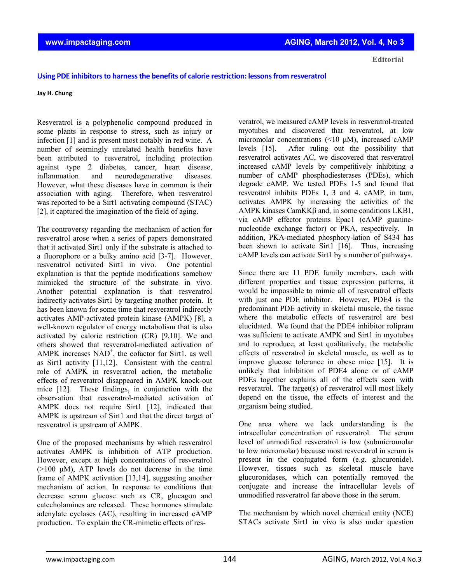**Editorial**

## **Using PDE inhibitorsto harnessthe benefits of calorie restriction: lessonsfrom resveratrol**

## **Jay H. Chung**

Resveratrol is a polyphenolic compound produced in some plants in response to stress, such as injury or infection [1] and is present most notably in red wine. A number of seemingly unrelated health benefits have been attributed to resveratrol, including protection against type 2 diabetes, cancer, heart disease, inflammation and neurodegenerative diseases. However, what these diseases have in common is their association with aging. Therefore, when resveratrol was reported to be a Sirt1 activating compound (STAC) [2], it captured the imagination of the field of aging.

The controversy regarding the mechanism of action for resveratrol arose when a series of papers demonstrated that it activated Sirt1 only if the substrate is attached to a fluorophore or a bulky amino acid [3-7]. However, resveratrol activated Sirt1 in vivo. One potential explanation is that the peptide modifications somehow mimicked the structure of the substrate in vivo. Another potential explanation is that resveratrol indirectly activates Sirt1 by targeting another protein. It has been known for some time that resveratrol indirectly activates AMP-activated protein kinase (AMPK) [8], a well-known regulator of energy metabolism that is also activated by calorie restriction (CR) [9,10]. We and others showed that resveratrol-mediated activation of AMPK increases  $NAD^+$ , the cofactor for Sirt1, as well as Sirt1 activity [11,12]. Consistent with the central role of AMPK in resveratrol action, the metabolic effects of resveratrol disappeared in AMPK knock-out mice [12]. These findings, in conjunction with the observation that resveratrol-mediated activation of AMPK does not require Sirt1 [12], indicated that AMPK is upstream of Sirt1 and that the direct target of resveratrol is upstream of AMPK.

One of the proposed mechanisms by which resveratrol activates AMPK is inhibition of ATP production. However, except at high concentrations of resveratrol  $(>100 \mu M)$ , ATP levels do not decrease in the time frame of AMPK activation [13,14], suggesting another mechanism of action. In response to conditions that decrease serum glucose such as CR, glucagon and catecholamines are released. These hormones stimulate adenylate cyclases (AC), resulting in increased cAMP production. To explain the CR-mimetic effects of resveratrol, we measured cAMP levels in resveratrol-treated myotubes and discovered that resveratrol, at low micromolar concentrations (<10 μM), increased cAMP levels [15]. After ruling out the possibility that resveratrol activates AC, we discovered that resveratrol increased cAMP levels by competitively inhibiting a number of cAMP phosphodiesterases (PDEs), which degrade cAMP. We tested PDEs 1-5 and found that resveratrol inhibits PDEs 1, 3 and 4. cAMP, in turn, activates AMPK by increasing the activities of the AMPK kinases CamKKβ and, in some conditions LKB1, via cAMP effector proteins Epac1 (cAMP guaninenucleotide exchange factor) or PKA, respectively. In addition, PKA-mediated phosphory-lation of S434 has been shown to activate Sirt1 [16]. Thus, increasing cAMP levels can activate Sirt1 by a number of pathways.

Since there are 11 PDE family members, each with different properties and tissue expression patterns, it would be impossible to mimic all of resveratrol effects with just one PDE inhibitor. However, PDE4 is the predominant PDE activity in skeletal muscle, the tissue where the metabolic effects of resveratrol are best elucidated. We found that the PDE4 inhibitor rolipram was sufficient to activate AMPK and Sirt1 in myotubes and to reproduce, at least qualitatively, the metabolic effects of resveratrol in skeletal muscle, as well as to improve glucose tolerance in obese mice [15]. It is unlikely that inhibition of PDE4 alone or of cAMP PDEs together explains all of the effects seen with resveratrol. The target(s) of resveratrol will most likely depend on the tissue, the effects of interest and the organism being studied.

One area where we lack understanding is the intracellular concentration of resveratrol. The serum level of unmodified resveratrol is low (submicromolar to low micromolar) because most resveratrol in serum is present in the conjugated form (e.g. glucuronide). However, tissues such as skeletal muscle have glucuronidases, which can potentially removed the conjugate and increase the intracellular levels of unmodified resveratrol far above those in the serum.

The mechanism by which novel chemical entity (NCE) STACs activate Sirt1 in vivo is also under question